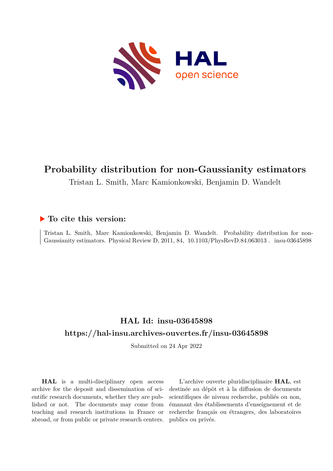

# **Probability distribution for non-Gaussianity estimators**

Tristan L. Smith, Marc Kamionkowski, Benjamin D. Wandelt

# **To cite this version:**

Tristan L. Smith, Marc Kamionkowski, Benjamin D. Wandelt. Probability distribution for non-Gaussianity estimators. Physical Review D, 2011, 84, 10.1103/PhysRevD.84.063013. insu-03645898

# **HAL Id: insu-03645898 <https://hal-insu.archives-ouvertes.fr/insu-03645898>**

Submitted on 24 Apr 2022

**HAL** is a multi-disciplinary open access archive for the deposit and dissemination of scientific research documents, whether they are published or not. The documents may come from teaching and research institutions in France or abroad, or from public or private research centers.

L'archive ouverte pluridisciplinaire **HAL**, est destinée au dépôt et à la diffusion de documents scientifiques de niveau recherche, publiés ou non, émanant des établissements d'enseignement et de recherche français ou étrangers, des laboratoires publics ou privés.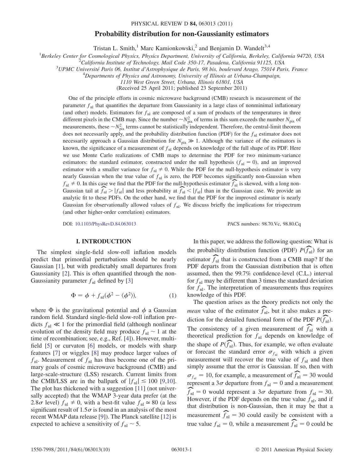#### PHYSICAL REVIEW D 84, 063013 (2011)

### Probability distribution for non-Gaussianity estimators

Tristan L. Smith,<sup>1</sup> Marc Kamionkowski,<sup>2</sup> and Benjamin D. Wandelt<sup>3,4</sup>

<sup>1</sup>Berkeley Center for Cosmological Physics, Physics Department, University of California, Berkeley, California 94720, USA<br><sup>2</sup>California Institute of Tashnology, Mail Code 350, 17, Pasadana, California 01125, USA

California Institute of Technology, Mail Code 350-17, Pasadena, California 91125, USA <sup>3</sup>

 $3$ UPMC Université Paris 06, Institut d'Astrophysique de Paris, 98 bis, boulevard Arago, 75014 Paris, France

 ${}^{4}$ Departments of Physics and Astronomy, University of Illinois at Urbana-Champaign,

1110 West Green Street, Urbana, Illinois 61801, USA

(Received 25 April 2011; published 23 September 2011)

One of the principle efforts in cosmic microwave background (CMB) research is measurement of the parameter  $f_{nl}$  that quantifies the departure from Gaussianity in a large class of nonminimal inflationary (and other) models. Estimators for  $f<sub>nl</sub>$  are composed of a sum of products of the temperatures in three different pixels in the CMB map. Since the number  $\sim N_{\text{pix}}^2$  of terms in this sum exceeds the number  $N_{\text{pix}}$  of measurements these  $\sim N^2$  terms cannot be statistically independent. Therefore, the central limit theor measurements, these  $\sim N_{\text{pix}}^2$  terms cannot be statistically independent. Therefore, the central-limit theorem does not necessarily apply, and the probability distribution function (PDF) for the  $f<sub>nl</sub>$  estimator does not necessarily approach a Gaussian distribution for  $N_{pix} \gg 1$ . Although the variance of the estimators is<br>known the significance of a massurement of f<sub>r</sub> denends on knowledge of the full shape of its PDE. Here known, the significance of a measurement of  $f_{nl}$  depends on knowledge of the full shape of its PDF. Here we use Monte Carlo realizations of CMB maps to determine the PDF for two minimum-variance estimators: the standard estimator, constructed under the null hypothesis  $(f_{nl} = 0)$ , and an improved estimator with a smaller variance for  $f_{nl} \neq 0$ . While the PDF for the null-hypothesis estimator is very nearly Gaussian when the true value of  $f<sub>nl</sub>$  is zero, the PDF becomes significantly non-Gaussian when  $f_{nl} \neq 0$ . In this case we find that the PDF for the null-hypothesis estimator  $\widehat{f}_{nl}$  is skewed, with a long non-<br>Gaussian tail at  $\widehat{f}_{nl}$   $\geq |f_{nl}|$  and less probability at  $\widehat{f}_{nl} \leq |f_{nl}|$  than in the Gaussia Gaussian tail at  $\widehat{f}_{nl} > |f_{nl}|$  and less probability at  $\widehat{f}_{nl} < |f_{nl}|$  than in the Gaussian case. We provide an analytic fit to these PDEs. On the other hand, we find that the PDE for the improved estimator is nearly analytic fit to these PDFs. On the other hand, we find that the PDF for the improved estimator is nearly Gaussian for observationally allowed values of  $f_{nl}$ . We discuss briefly the implications for trispectrum (and other higher-order correlation) estimators.

DOI: [10.1103/PhysRevD.84.063013](http://dx.doi.org/10.1103/PhysRevD.84.063013) PACS numbers: 98.70.Vc, 98.80.Cq

#### I. INTRODUCTION

The simplest single-field slow-roll inflation models predict that primordial perturbations should be nearly Gaussian [1], but with predictably small departures from Gaussianity [2]. This is often quantified through the non-Gaussianity parameter  $f_{nl}$  defined by [3]

$$
\Phi = \phi + f_{\rm nl}(\phi^2 - \langle \phi^2 \rangle), \tag{1}
$$

where  $\Phi$  is the gravitational potential and  $\phi$  a Gaussian random field. Standard single-field slow-roll inflation predicts  $f_{nl} \ll 1$  for the primordial field (although nonlinear evolution of the density field may produce  $f_{nl} \sim 1$  at the time of recombination; see, e.g., Ref. [4]). However, multifield [5] or curvaton [6] models, or models with sharp features [7] or wiggles [8] may produce larger values of  $f_{nl}$ . Measurement of  $f_{nl}$  has thus become one of the pri-<br>mary goals of cosmic microwave background (CMB) and mary goals of cosmic microwave background (CMB) and large-scale-structure (LSS) research. Current limits from the CMB/LSS are in the ballpark of  $|f_{nl}| \le 100$  [9,10]. The plot has thickened with a suggestion [11] (not universally accepted) that the WMAP 3-year data prefer (at the 2.8 $\sigma$  level)  $f_{nl} \neq 0$ , with a best-fit value  $f_{nl} \approx 80$  (a less significant result of 1.5 $\sigma$  is found in an analysis of the most significant result of  $1.5\sigma$  is found in an analysis of the most<br>recent WMAP data release [91]. The Planck satellite [12] is recent WMAP data release [9]). The Planck satellite [12] is expected to achieve a sensitivity of  $f_{nl} \sim 5$ .

In this paper, we address the following question: What is the probability distribution function (PDF)  $P(\widehat{f}_{nl})$  for an estimator  $\widehat{f}_{nl}$  that is constructed from a CMB map? If the PDE denotes from the Gaussian distribution that is often PDF departs from the Gaussian distribution that is often assumed, then the 99.7% confidence-level (C.L.) interval for  $f_{nl}$  may be different than 3 times the standard deviation for  $f_{nl}$ . The interpretation of measurements thus requires knowledge of this PDF.

The question arises as the theory predicts not only the *mean* value of the estimator  $\widehat{f}_{nl}$ , but it also makes a prediction for the detailed functional form of the PDF  $P(\widehat{f}_{nl})$ . The consistency of a given measurement of  $\widehat{f}_{nl}$  with a theoretical prediction for  $f_{nl}$  denends on knowledge of theoretical prediction for  $f_{nl}$  depends on knowledge of the shape of  $P(\widehat{f}_{nl})$ . Thus, for example, we often evaluate<br>or forecast the standard error  $\sigma_c$ , with which a given or forecast the standard error  $\sigma_{f_n}$  with which a given measurement will recover the true value of  $f_{nl}$  and then simply assume that the error is Gaussian. If so, then with  $\sigma_{f_{nl}} = 10$ , for example, a measurement of  $\widehat{f}_{nl} = 30$  would represent a 3 $\sigma$  departure from  $f_{nl} = 0$  and a measurement  $\widehat{f}_{nl} = 0$  would represent a  $3\sigma$  departure from  $f_{nl} = 30$ .<br>However if the PDF depends on the true value f, and if However, if the PDF depends on the true value  $f_{nl}$ , and if that distribution is non-Gaussian, then it may be that a measurement  $\widehat{f}_{nl} = 30$  could easily be consistent with a true value  $f_{\text{nl}} = 0$ , while a measurement  $\widehat{f}_{\text{nl}} = 0$  could be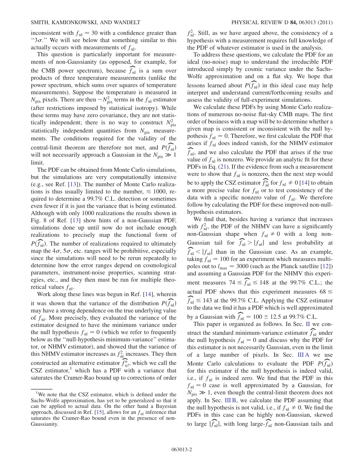inconsistent with  $f_{nl} = 30$  with a confidence greater than " $3\sigma$ ." We will see below that something similar to this actually occurs with measurements of f, actually occurs with measurements of  $f_{nl}$ .

This question is particularly important for measurements of non-Gaussianity (as opposed, for example, for the CMB power spectrum), because  $\widehat{f}_{nl}$  is a sum over products of three temperature measurements (unlike the power spectrum, which sums over squares of temperature measurements). Suppose the temperature is measured in  $N_{\text{pix}}$  pixels. There are then  $\sim N_{\text{pix}}^2$  terms in the  $f_{\text{nl}}$  estimator (often restrictions imposed by estimator). While (after restrictions imposed by statistical isotropy). While these terms may have zero covariance, they are not statistically independent; there is no way to construct  $N_{\text{pix}}^2$ statistically independent quantities from  $N_{\text{pix}}$  measure-<br>meats. The conditions required for the validity of the ments. The conditions required for the validity of the central-limit theorem are therefore not met, and  $P(\widehat{f}_{nl})$ <br>will not necessarily approach a Gaussian in the  $N \to 1$ will not necessarily approach a Gaussian in the  $N_{\text{pix}} \gg 1$ limit.

The PDF can be obtained from Monte Carlo simulations, but the simulations are very computationally intensive (e.g., see Ref. [13]). The number of Monte Carlo realizations is thus usually limited to the number,  $\leq 1000$ , required to determine a 99.7% C.L. detection or sometimes even fewer if it is just the variance that is being estimated. Although with only 1000 realizations the results shown in Fig. 8 of Ref. [13] show hints of a non-Gaussian PDF, simulations done up until now do not include enough realizations to precisely map the functional form of  $P(\widehat{f}_{nl})$ . The number of realizations required to ultimately man the  $4\sigma$ ,  $5\sigma$ , etc. ranges will be probibitive, especially map the  $4\sigma$ ,  $5\sigma$ , etc. ranges will be prohibitive, especially since the simulations will need to be rerun repeatedly to since the simulations will need to be rerun repeatedly to determine how the error ranges depend on cosmological parameters, instrument-noise properties, scanning strategies, etc., and they then must be run for multiple theoretical values  $f_{nl}$ .

Work along these lines was begun in Ref. [14], wherein it was shown that the variance of the distribution  $P(f_{nl})$ It was shown that the variance of the distribution  $P(f_{nl})$ <br>may have a strong dependence on the true underlying value of  $f_{nl}$ . More precisely, they evaluated the variance of the estimator designed to have the minimum variance under the null hypothesis  $f_{nl} = 0$  (which we refer to frequently below as the ''null-hypothesis minimum-variance'' estimator, or NHMV estimator), and showed that the variance of this NHMV estimator increases as  $f_{\text{nl}}^2$  increases. They then constructed an alternative estimator  $\widehat{f}_{nl}^n$ , which we call the  $\text{CSZ}$  estimator,<sup>1</sup> which has a PDF with a variance that saturates the Cramer-Rao bound up to corrections of order

 $f_{nl}^2$ . Still, as we have argued above, the consistency of a hypothesis with a measurement requires full knowledge of hypothesis with a measurement requires full knowledge of the PDF of whatever estimator is used in the analysis.

To address these questions, we calculate the PDF for an ideal (no-noise) map to understand the irreducible PDF introduced simply by cosmic variance under the Sachs-Wolfe approximation and on a flat sky. We hope that lessons learned about  $P(\widehat{f}_{nl})$  in this ideal case may help<br>interpret and understand current/forthcoming results and interpret and understand current/forthcoming results and assess the validity of full-experiment simulations.

We calculate these PDFs by using Monte Carlo realizations of numerous no-noise flat-sky CMB maps. The first order of business with a map will be to determine whether a given map is consistent or inconsistent with the null hypothesis  $f_{nl} = 0$ . Therefore, we first calculate the PDF that arises if  $f<sub>nl</sub>$  does indeed vanish, for the NHMV estimator  $\widehat{f}_{nl}$ , and we also calculate the PDF that arises if the true<br>value of f, is nonzero. We provide an applytic fit for these value of  $f_{nl}$  is nonzero. We provide an analytic fit for these PDFs in Eq. (21). If the evidence from such a measurement were to show that  $f_{nl}$  is nonzero, then the next step would be to apply the CSZ estimator  $\widehat{f}_{nl}^n$  for  $f_{nl} \neq 0$  [14] to obtain a more precise value for  $f<sub>nl</sub>$  or to test consistency of the data with a specific nonzero value of  $f_{nl}$ . We therefore follow by calculating the PDF for these improved non-nullhypothesis estimators.

We find that, besides having a variance that increases with  $f_{\text{nl}}^2$ , the PDF of the NHMV can have a significantly<br>non-Gaussian, shape, when  $f_{\text{u}} \neq 0$ , with a long nonnon-Gaussian shape when  $f_{nl} \neq 0$  with a long non-Gaussian tail for  $\widehat{f}_{nl} > |f_{nl}|$  and less probability at  $\widehat{f}_{nl} < |f_{nl}|$  than in the Gaussian case. As an example,<br>taking  $f_{nl} = 100$  for an experiment which measures multitaking  $f_{nl} = 100$  for an experiment which measures multipoles out to  $l_{\text{max}} = 3000$  (such as the Planck satellite [12]) and assuming a Gaussian PDF for the NHMV this experiment measures  $74 \le \widehat{f}_{nl} \le 148$  at the 99.7% C.L.; the actual PDF shows that this experiment measures  $68 \le$  $\widehat{f}_{nl} \le 143$  at the 99.7% C.L. Applying the CSZ estimator<br>to the data we find it has a PDF which is well approximated to the data we find it has a PDF which is well approximated by a Gaussian with  $\widehat{f}_{nl} = 100 \pm 12.5$  at 99.7% C.L.<br>This paper is organized as follows. In Sec. II we con-

struct the standard minimum-variance estimator  $\widehat{f}_{nl}$  under<br>the null hypothesis  $f_{nl} = 0$  and discuss why the PDE for the null hypothesis  $f_{nl} = 0$  and discuss why the PDF for this estimator is not necessarily Gaussian, even in the limit of a large number of pixels. In Sec. III A we use Monte Carlo calculations to evaluate the PDF  $P(\widehat{f}_{nl})$  for this estimator if the null hypothesis is indeed valid for this estimator if the null hypothesis is indeed valid, i.e., if  $f_{nl}$  is indeed zero. We find that the PDF in this  $f_{\text{nl}} = 0$  case is well approximated by a Gaussian, for  $N \rightarrow 1$  even though the central-limit theorem does not  $N_{\text{pix}} \gg 1$ , even though the central-limit theorem does not apply. In Sec. III B, we calculate the PDF assuming that the null hypothesis is not valid, i.e., if  $f_{nl} \neq 0$ . We find the PDFs in this case can be highly non-Gaussian, skewed to large  $|\widehat{f}_{nl}|$ , with long large- $\widehat{f}_{nl}$  non-Gaussian tails and

<sup>&</sup>lt;sup>1</sup>We note that the CSZ estimator, which is defined under the Sachs-Wolfe approximation, has yet to be generalized so that it can be applied to actual data. On the other hand a Bayesian approach, discussed in Ref. [15], allows for an  $f<sub>nl</sub>$  inference that saturates the Cramer-Rao bound even in the presence of non-Gaussianity.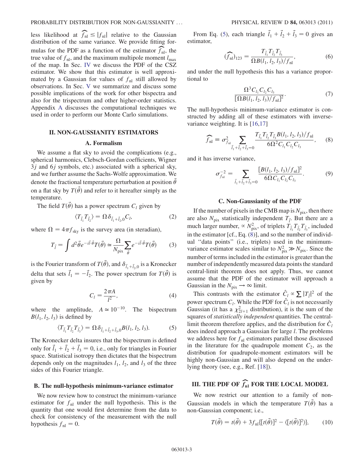less likelihood at  $\widehat{f}_{nl} \leq |f_{nl}|$  relative to the Gaussian distribution of the same variance. We provide fitting fordistribution of the same variance. We provide fitting formulas for the PDF as a function of the estimator  $\widehat{f}_{nl}$ , the true value of  $f_{nl}$  and the maximum multipole moment l true value of  $f_{nl}$ , and the maximum multipole moment  $l_{max}$ of the map. In Sec. IV we discuss the PDF of the CSZ estimator. We show that this estimator is well approximated by a Gaussian for values of  $f<sub>nl</sub>$  still allowed by observations. In Sec. V we summarize and discuss some possible implications of the work for other bispectra and also for the trispectrum and other higher-order statistics. Appendix A discusses the computational techniques we used in order to perform our Monte Carlo simulations.

#### II. NON-GAUSSIANITY ESTIMATORS

#### A. Formalism

We assume a flat sky to avoid the complications (e.g., spherical harmonics, Clebsch-Gordan coefficients, Wigner  $3j$  and  $6j$  symbols, etc.) associated with a spherical sky, and we further assume the Sachs-Wolfe approximation. We denote the fractional temperature perturbation at position  $\dot{\theta}$ on a flat sky by  $T(\hat{\theta})$  and refer to it hereafter simply as the temperature.

The field  $T(\vec{\theta})$  has a power spectrum  $C_l$  given by

$$
\langle T_{\vec{l}_1} T_{\vec{l}_2} \rangle = \Omega \delta_{\vec{l}_1 + \vec{l}_2, 0} C_l, \tag{2}
$$

where  $\Omega = 4\pi f_{\rm sky}$  is the survey area (in steradian),

$$
T_{\vec{l}} = \int d^2 \vec{\theta} e^{-i\vec{l}\cdot\vec{\theta}} T(\vec{\theta}) \simeq \frac{\Omega}{N_{\text{pix}}} \sum_{\vec{\theta}} e^{-i\vec{l}\cdot\vec{\theta}} T(\vec{\theta}) \tag{3}
$$

is the Fourier transform of  $T(\vec{\theta})$ , and  $\delta_{\vec{l}_1+\vec{l}_2,0}$  is a Kronecker delta that sets  $\vec{l}_1 = -\vec{l}_2$ . The power spectrum for  $T(\vec{\theta})$  is given by

$$
C_l = \frac{2\pi A}{l^2},\tag{4}
$$

where the amplitude,  $A \approx 10^{-10}$ . The bispectrum  $B(l_1, l_2, l_3)$  is defined by

$$
\langle T_{\vec{l}_1} T_{\vec{l}_2} T_{\vec{l}_3} \rangle = \Omega \delta_{\vec{l}_1 + \vec{l}_2 + \vec{l}_3,0} B(l_1, l_2, l_3). \tag{5}
$$

The Kronecker delta insures that the bispectrum is defined only for  $\vec{l}_1 + \vec{l}_2 + \vec{l}_3 = 0$ , i.e., only for triangles in Fourier space. Statistical isotropy then dictates that the bispectrum depends only on the magnitudes  $l_1$ ,  $l_2$ , and  $l_3$  of the three sides of this Fourier triangle.

#### B. The null-hypothesis minimum-variance estimator

We now review how to construct the minimum-variance estimator for  $f_{nl}$  under the null hypothesis. This is the quantity that one would first determine from the data to check for consistency of the measurement with the null hypothesis  $f_{\rm nl} = 0$ .

From Eq. (5), each triangle  $\vec{l}_1 + \vec{l}_2 + \vec{l}_3 = 0$  gives an estimator,

$$
(\widehat{f}_{\rm nl})_{123} = \frac{T_{\vec{l}_1} T_{\vec{l}_2} T_{\vec{l}_3}}{\Omega B(l_1, l_2, l_3) / f_{\rm nl}},\tag{6}
$$

and under the null hypothesis this has a variance proportional to

$$
\frac{\Omega^3 C_{l_1} C_{l_2} C_{l_3}}{[\Omega B(l_1, l_2, l_3)/f_{\rm nl}]^2}.
$$
\n(7)

The null-hypothesis minimum-variance estimator is constructed by adding all of these estimators with inversevariance weighting. It is [16,17]

$$
\widehat{f}_{\rm nl} \equiv \sigma_{f_{\rm nl}}^2 \sum_{\vec{l}_1 + \vec{l}_2 + \vec{l}_3 = 0} \frac{T_{\vec{l}_1} T_{\vec{l}_2} T_{\vec{l}_3} B(l_1, l_2, l_3) / f_{\rm nl}}{6\Omega^2 C_{l_1} C_{l_2} C_{l_3}},
$$
(8)

and it has inverse variance,

$$
\sigma_{f_{\rm nl}}^{-2} = \sum_{\vec{l}_1 + \vec{l}_2 + \vec{l}_3 = 0} \frac{[B(l_1, l_2, l_3)/f_{\rm nl}]^2}{6\Omega C_{l_1} C_{l_2} C_{l_3}}.
$$
(9)

#### C. Non-Gaussianity of the PDF

If the number of pixels in the CMB map is  $N_{pix}$ , then there are also  $N_{\text{pix}}$  statistically independent  $T_{\vec{l}}$ . But there are a much larger number  $\propto N^2$  of triplate  $T_{\vec{l}}$ ,  $T_{\vec{l}}$ , included much larger number,  $\propto N_{\text{pix}}^2$ , of triplets  $T_{\bar{l}_1} T_{\bar{l}_2} T_{\bar{l}_3}$ , included<br>in the estimator lef. Eq. (2)] and so the number of individual in the estimator [cf., Eq. (8)], and so the number of individual ''data points'' (i.e., triplets) used in the minimumvariance estimator scales similar to  $N_{\text{pix}}^2 \gg N_{\text{pix}}$ . Since the number of terms included in the estimator is greater than the number of independently measured data points the standard central-limit theorem does not apply. Thus, we cannot assume that the PDF of the estimator will approach a Gaussian in the  $N_{\text{pix}} \rightarrow \infty$  limit.

This contrasts with the estimator  $\hat{C}_l \propto \sum |T_{\bar{l}}|^2$  of the power spectrum  $C_l$ . While the PDF for  $\hat{C}_l$  is not necessarily  $C_{\text{quasi}}$  (it has a  $\alpha^2$  distribution) it is the sum of the Gaussian (it has a  $\chi^2_{2l+1}$  distribution), it is the sum of the squares of statistically independent quantities. The centralsquares of statistically independent quantities. The centrallimit theorem therefore applies, and the distribution for  $\hat{C}_l$ <br>deep indeed anywards a Gaussian for large *l*. The real large does indeed approach a Gaussian for large l. The problems we address here for  $f_{nl}$  estimators parallel those discussed in the literature for the quadrupole moment  $C_2$ , as the distribution for quadrupole-moment estimators will be highly non-Gaussian and will also depend on the underlying theory (see, e.g., Ref. [18]).

# III. THE PDF OF  $\widehat{f}_{\mathrm{nl}}$  for the local model

We now restrict our attention to a family of non-Gaussian models in which the temperature  $T(\hat{\theta})$  has a non-Gaussian component; i.e.,

$$
T(\vec{\theta}) = t(\vec{\theta}) + 3f_{\text{nl}}\{[t(\vec{\theta})]^2 - \langle [t(\vec{\theta})]^2 \rangle\},\tag{10}
$$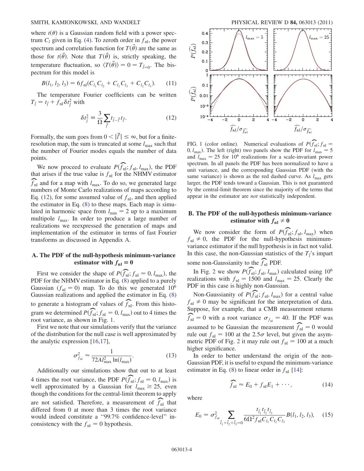where  $t(\theta)$  is a Gaussian random field with a power spectrum  $C_l$  given in Eq. (4). To zeroth order in  $f_{nl}$ , the power spectrum and correlation function for  $T(\hat{\theta})$  are the same as those for  $t(\vec{\theta})$ . Note that  $T(\vec{\theta})$  is, strictly speaking, the temperature fluctuation, so  $\langle T(\vec{\theta}) \rangle = 0 = T_{\vec{l}=0}$ . The bispectrum for this model is

$$
B(l_1, l_2, l_3) = 6f_{\rm nl}(C_{l_1}C_{l_2} + C_{l_1}C_{l_3} + C_{l_2}C_{l_3}).
$$
 (11)

The temperature Fourier coefficients can be written  $T_{\tilde{l}} = t_{\tilde{l}} + \tilde{f}_{\text{nl}} \delta t_{\tilde{l}}^2$  with

$$
\delta t_{\tilde{l}}^2 \equiv \frac{3}{\Omega} \sum_{\tilde{l}} t_{\tilde{l}-\tilde{l}} t_{\tilde{l}'} \tag{12}
$$

Formally, the sum goes from  $0 < |\vec{l}'| \le \infty$ , but for a finite-<br>resolution man, the sum is truncated at some *l* such that resolution map, the sum is truncated at some  $l_{\text{max}}$  such that the number of Fourier modes equals the number of data points.

We now proceed to evaluate  $P(\widehat{f}_{nl}; f_{nl}, l_{max})$ , the PDF<br>of arises if the true value is f, for the NHMV estimator that arises if the true value is  $f_{nl}$  for the NHMV estimator  $\widehat{f}_{\text{nl}}$  and for a map with  $l_{\text{max}}$ . To do so, we generated large numbers of Monte Carlo realizations of maps according to numbers of Monte Carlo realizations of maps according to Eq. (12), for some assumed value of  $f_{nl}$ , and then applied the estimator in Eq. (8) to these maps. Each map is simulated in harmonic space from  $l_{\min} = 2$  up to a maximum multipole  $l_{\text{max}}$ . In order to produce a large number of realizations we reexpressed the generation of maps and implementation of the estimator in terms of fast Fourier transforms as discussed in Appendix A.

# A. The PDF of the null-hypothesis minimum-variance estimator with  $f_{nl} = 0$

First we consider the shape of  $P(\widehat{f}_{nl}; f_{nl} = 0, l_{max})$ , the DF for the NHMV estimator in Eq. (8) applied to a purely PDF for the NHMV estimator in Eq. (8) applied to a purely Gaussian ( $f<sub>nl</sub> = 0$ ) map. To do this we generated 10<sup>6</sup> Gaussian realizations and applied the estimator in Eq. (8) to generate a histogram of values of  $\widehat{f}_{nl}$ . From this histogram we determined  $P(\widehat{f}_{nl}; f_{nl} = 0, l_{max})$  out to 4 times the root variance as shown in Fig. 1 root variance, as shown in Fig. 1.

First we note that our simulations verify that the variance of the distribution for the null case is well approximated by the analytic expression [16,17],

$$
\sigma_{f_{\rm nl}}^2 \approx \frac{1}{72Al_{\rm max}^2 \ln(l_{\rm max})}.\tag{13}
$$

Additionally our simulations show that out to at least 4 times the root variance, the PDF  $P(\widehat{f}_{nl}; f_{nl} = 0, l_{max})$  is well approximated by a Gaussian for  $l > 25$  even well approximated by a Gaussian for  $l_{\text{max}} \geq 25$ , even though the conditions for the central-limit theorem to apply are not satisfied. Therefore, a measurement of  $\widehat{f}_{nl}$  that differed from 0 at more than 3 times the root variance differed from 0 at more than 3 times the root variance would indeed constitute a ''99.7% confidence-level'' inconsistency with the  $f_{nl} = 0$  hypothesis.



FIG. 1 (color online). Numerical evaluations of  $P(\widehat{f}_{nl}; f_{nl} = 0, l$ ). The left (right) two panels show the PDF for  $l = 5$ 0,  $l_{\text{max}}$ ). The left (right) two panels show the PDF for  $l_{\text{max}} = 5$ and  $l_{\text{max}} = 25$  for 10<sup>6</sup> realizations for a scale-invariant power spectrum. In all panels the PDF has been normalized to have a unit variance, and the corresponding Gaussian PDF (with the same variance) is shown as the red dashed curve. As  $l_{\text{max}}$  gets larger, the PDF tends toward a Gaussian. This is not guaranteed by the central-limit theorem since the majority of the terms that appear in the estimator are not statistically independent.

## B. The PDF of the null-hypothesis minimum-variance estimator with  $f_{nl} \neq 0$

We now consider the form of  $P(\widehat{f}_{\text{nl}}; f_{\text{nl}}, l_{\text{max}})$  when  $t \neq 0$  the PDF for the null-hypothesis minimum $f_{nl} \neq 0$ , the PDF for the null-hypothesis minimum-<br>variance estimator if the null hypothesis is in fact not valid variance estimator if the null hypothesis is in fact not valid. In this case, the non-Gaussian statistics of the  $T_i$ 's impart some non-Gaussianity to the  $\widehat{f}_{nl}$  PDF.

In Fig. 2 we show  $P(\widehat{f}_{nl}; f_{nl}, l_{max})$  calculated using  $10^6$ <br>alizations with  $f_{nl} = 1500$  and  $l_{nl} = 25$  Clearly the realizations with  $f_{nl} = 1500$  and  $l_{max} = 25$ . Clearly the PDF in this case is highly non-Gaussian.

Non-Gaussianity of  $P(\widehat{f}_{nl}; f_{nl}, l_{max})$  for a central value  $f_{nl} \neq 0$  may be significant for the interpretation of data.<br>Suppose for example that a CMB measurement returns Suppose, for example, that a CMB measurement returns  $f_{\text{nl}} = 0$  with a root variance  $\sigma_{f_{\text{nl}}} = 40$ . If the PDF was assumed to be Gaussian the measurement  $\widehat{f}_{nl} = 0$  would<br>rule out  $f_{nl} = 100$  at the 2.5 $\sigma$  level, but given the asymrule out  $f_{nl} = 100$  at the 2.5 $\sigma$  level, but given the asymmetric PDF of Fig. 2 it may rule out  $f_1 = 100$  at a much metric PDF of Fig. 2 it may rule out  $f_{nl} = 100$  at a much higher significance.

In order to better understand the origin of the non-Gaussian PDF, it is useful to expand the minimum-variance estimator in Eq. (8) to linear order in  $f<sub>nl</sub>$  [14]:

$$
\widehat{f}_{\rm nl} \approx E_0 + f_{\rm nl} E_1 + \cdots,\tag{14}
$$

where

$$
E_0 = \sigma_{f_{\rm nl}}^2 \sum_{\vec{l}_1 + \vec{l}_2 + \vec{l}_3 = 0} \frac{t_{\vec{l}_1} t_{\vec{l}_2} t_{\vec{l}_3}}{6\Omega^2 f_{\rm nl} C_{l_1} C_{l_2} C_{l_3}} B(l_1, l_2, l_3), \quad (15)
$$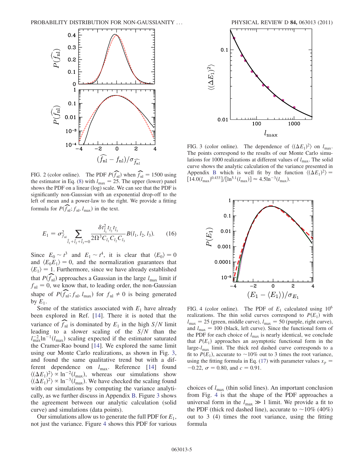

FIG. 2 (color online). The PDF  $P(\widehat{f}_{nl})$  when  $\widehat{f}_{nl} = 1500$  using Appendix B which is well fit by the function in Eq. (8) with  $l_{\text{max}} = 25$ . The upper (lower) panel  $[14.0(l_{\text{max}})^{0.433}]/[ln^{5.1}(l_{\text{max}})] \approx 4.5 ln^{-3}(l_{\$ the estimator in Eq. (8) with  $l_{\text{max}} = 25$ . The upper (lower) panel shows the PDF on a linear (log) scale. We can see that the PDF is significantly non-Gaussian with an exponential drop-off to the left of mean and a power-law to the right. We provide a fitting formula for  $P(\widehat{f}_{\text{nl}}; f_{\text{nl}}, l_{\text{max}})$  in the text.

$$
E_1 = \sigma_{f_{\rm nl}}^2 \sum_{\vec{l}_1 + \vec{l}_2 + \vec{l}_3 = 0} \frac{\delta t_{\vec{l}_1}^2 t_{\vec{l}_2} t_{\vec{l}_3}}{2\Omega^3 C_{l_1} C_{l_2} C_{l_3}} B(l_1, l_2, l_3).
$$
 (16)

Since  $E_0 \sim t^3$  and  $E_1 \sim t^4$ , it is clear that  $\langle E_0 \rangle = 0$ <br>and  $\langle E_0 E_2 \rangle = 0$  and the normalization guarantees that and  $\langle E_0 E_1 \rangle = 0$ , and the normalization guarantees that  $\langle E_1 \rangle = 1$ . Furthermore, since we have already established that  $P(\widehat{f}_{nl})$  approaches a Gaussian in the large  $l_{\text{max}}$  limit if  $f_{nl} = 0$ , we know that, to leading order, the non-Gaussian shape of  $P(\widehat{f}_{nl}; f_{nl}, l_{max})$  for  $f_{nl} \neq 0$  is being generated by  $F$ . by  $E_1$ .

Some of the statistics associated with  $E_1$  have already been explored in Ref. [14]. There it is noted that the variance of  $\widehat{f}_{n}$  is dominated by  $E_1$  in the high  $S/N$  limit leading to a slower scaling of the  $S/N$  than the  $l_{\text{max}}^{-2}$ ln<sup>-1</sup> $(l_{\text{max}})$  scaling expected if the estimator saturated<br>the Cramer-Rao bound [14]. We explored the same limit the Cramer-Rao bound [14]. We explored the same limit using our Monte Carlo realizations, as shown in Fig. 3, and found the same qualitative trend but with a different dependence on  $l_{\text{max}}$ . Reference [14] found  $\langle (\Delta E_1)^2 \rangle \propto \ln^{-2}(l_{\text{max}})$ , whereas our simulations show<br> $\langle (\Delta E_1)^2 \rangle \propto \ln^{-3}(l_{\text{max}})$ . We have checked the scaling found  $\langle (\Delta E_1)^2 \rangle \propto \ln^{-3} (l_{\text{max}})$ . We have checked the scaling found<br>with our simulations by computing the variance analytiwith our simulations by computing the variance analytically, as we further discuss in Appendix B. Figure 3 shows the agreement between our analytic calculation (solid curve) and simulations (data points).

Our simulations allow us to generate the full PDF for  $E_1$ , not just the variance. Figure 4 shows this PDF for various



FIG. 3 (color online). The dependence of  $\langle (\Delta E_1)^2 \rangle$  on  $l_{\text{max}}$ .<br>The points correspond to the results of our Monte Carlo simu-The points correspond to the results of our Monte Carlo simulations for 1000 realizations at different values of  $l_{\text{max}}$ . The solid curve shows the analytic calculation of the variance presented in Appendix B which is well fit by the function  $\langle (\Delta E_1)^2 \rangle =$ <br>[14.0(*l*)  $\frac{0.4331}{\ln 5^{3}(l)}$   $\geq 4.5 \ln^{-3}(l)$  $\left[14.0(l_{\text{max}})^{0.433}\right]/\left[ \ln^{5.1}(l_{\text{max}}) \right] \approx$ 



FIG. 4 (color online). The PDF of  $E_1$  calculated using 10<sup>6</sup> realizations. The thin solid curves correspond to  $P(E_1)$  with  $l_{\text{max}} = 25$  (green, middle curve),  $l_{\text{max}} = 50$  (purple, right curve), and  $l_{\text{max}} = 100$  (black left curve). Since the functional form of and  $l_{\text{max}} = 100$  (black, left curve). Since the functional form of the PDF for each choice of  $l_{\text{max}}$  is nearly identical, we conclude that  $P(E_1)$  approaches an asymptotic functional form in the large- $l_{\text{max}}$  limit. The thick red dashed curve corresponds to a fit to  $P(E_1)$ , accurate to  $\sim 10\%$  out to 3 times the root variance, using the fitting formula in Eq. (17) with parameter values  $x_p$  =  $-0.22$ ,  $\sigma = 0.80$ , and  $c = 0.91$ .

choices of  $l_{\text{max}}$  (thin solid lines). An important conclusion from Fig. 4 is that the shape of the PDF approaches a universal form in the  $l_{\text{max}} \gg 1$  limit. We provide a fit to the PDF (thick red dashed line) accurate to  $\sim 10\%$  (40%) the PDF (thick red dashed line), accurate to  $\sim$ 10% (40%) out to 3 (4) times the root variance, using the fitting formula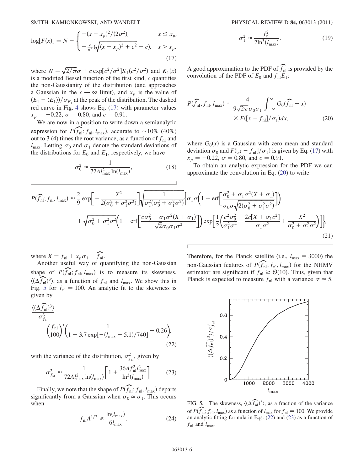$$
\log[F(x)] = N - \begin{cases} -(x - x_p)^2 / (2\sigma^2), & x \le x_p, \\ -\frac{c}{\sigma^2} (\sqrt{(x - x_p)^2 + c^2} - c), & x > x_p, \end{cases}
$$
(17)

where  $N = \sqrt{2/\pi}\sigma + c \exp[c^2/\sigma^2]K_1(c^2/\sigma^2)$  and  $K_1(x)$ <br>is a modified Bessel function of the first kind c quantifies is a modified Bessel function of the first kind,  $c$  quantifies the non-Gaussianity of the distribution (and approaches a Gaussian in the  $c \rightarrow \infty$  limit), and  $x_p$  is the value of  $(E_1 - \langle E_1 \rangle)/\sigma_{E_1}$  at the peak of the distribution. The dashed<br>red curve in Fig. 4 shows Eq. (17) with parameter values red curve in Fig. 4 shows Eq. (17) with parameter values  $x_p = -0.22$ ,  $\sigma = 0.80$ , and  $c = 0.91$ .<br>We are now in a position to write d

We are now in a position to write down a semianalytic expression for  $P(\widehat{f}_{nl}; f_{nl}, l_{max})$ , accurate to  $\sim 10\%$  (40%)<br>out to 3 (4) times the root variance as a function of f, and out to 3 (4) times the root variance, as a function of  $f_{nl}$  and  $l_{\text{max}}$ . Letting  $\sigma_0$  and  $\sigma_1$  denote the standard deviations of the distributions for E, and E. respectively we have the distributions for  $E_0$  and  $E_1$ , respectively, we have

$$
\sigma_0^2 \approx \frac{1}{72A l_{\text{max}}^2 \ln(l_{\text{max}})},\tag{18}
$$

$$
\sigma_1^2 \approx \frac{f_{\rm nl}^2}{2\ln^3(l_{\rm max})}.\tag{19}
$$

A good approximation to the PDF of  $\widehat{f}_{nl}$  is provided by the convolution of the PDF of  $F$ , and  $f$ ,  $F$ . convolution of the PDF of  $E_0$  and  $f_{nl}E_1$ :

$$
P(\widehat{f}_{\rm nl}; f_{\rm nl}, l_{\rm max}) \approx \frac{4}{9\sqrt{2\pi}\sigma_0\sigma_1} \int_{-\infty}^{\infty} G_0(\widehat{f}_{\rm nl} - x)
$$

$$
\times F([x - f_{\rm nl}]/\sigma_1) dx, \tag{20}
$$

where  $G_0(x)$  is a Gaussian with zero mean and standard deviation  $\sigma_0$  and  $F([x - f_{\text{nl}}]/\sigma_1)$  is given by Eq. (17) with  $x = -0.22$   $\sigma = 0.80$  and  $c = 0.91$  $x_p = -0.22$ ,  $\sigma = 0.80$ , and  $c = 0.91$ .<br>To obtain an analytic expression for

To obtain an analytic expression for the PDF we can approximate the convolution in Eq. (20) to write

$$
P(\widehat{f}_{\text{nl}}; f_{\text{nl}}, l_{\text{max}}) \approx \frac{2}{9} \exp\left[-\frac{X^2}{2(\sigma_0^2 + \sigma_1^2 \sigma^2)}\right] \sqrt{\frac{1}{\sigma_1^2(\sigma_0^2 + \sigma_1^2 \sigma^2)}} \left[\sigma_1 \sigma \left(1 + \text{erf}\left[\frac{\sigma_0^2 + \sigma_1 \sigma^2 (X + \sigma_1)}{\sigma_0 \sigma \sqrt{2(\sigma_0^2 + \sigma_1^2 \sigma^2)}}\right]\right)\right] + \sqrt{\sigma_0^2 + \sigma_1^2 \sigma^2} \left(1 - \text{erf}\left[\frac{c\sigma_0^2 + \sigma_1 \sigma^2 (X + \sigma_1)}{\sqrt{2}\sigma_0 \sigma_1 \sigma^2}\right]\right) \exp\left[\frac{1}{2}\left(\frac{c^2 \sigma_0^2}{\sigma_1^2 \sigma^4} + \frac{2c[X + \sigma_1 c^2]}{\sigma_1 \sigma^2} + \frac{X^2}{\sigma_0^2 + \sigma_1^2 \sigma^2}\right)\right]\right],
$$
\n(21)

where  $X = f_{nl} + x_p \sigma_1 - \widehat{f}_{nl}$ .<br>Another useful way of quantifying the non-Gaussian shape of  $P(\widehat{f}_{nl}; f_{nl}, l_{max})$  is to measure its skewness,  $\langle (\Delta \hat{f}_{nl})^3 \rangle$ , as a function of  $f_{nl}$  and  $l_{max}$ . We show this in Fig. 5 for  $f_{nl} = 100$ . An analytic fit to the skewness is  $\left(\frac{(\Delta f_{\text{nl}})^2}{\Delta f_{\text{nl}}}\right)$ , as a function of  $f_{\text{nl}}$  and  $l_{\text{max}}$ . We show this in Fig. 5 for  $f_{\text{nl}} = 100$ . An analytic fit to the skewness is given by given by

$$
\frac{\langle (\Delta f_{\text{nl}})^3 \rangle}{\sigma_{f_{\text{nl}}}^3} = \left(\frac{f_{\text{nl}}}{100}\right)^3 \left(\frac{1}{1 + 3.7 \exp[-(l_{\text{max}} - 5.1)/740]} - 0.26\right),\tag{22}
$$

with the variance of the distribution,  $\sigma_{f_{nl}}^2$ , given by

$$
\sigma_{f_{\rm nl}}^2 \approx \frac{1}{72Al_{\rm max}^2 \ln(l_{\rm max})} \bigg[ 1 + \frac{36A f_{\rm nl}^2 l_{\rm max}^2}{\ln^2(l_{\rm max})} \bigg]. \tag{23}
$$

Finally, we note that the shape of  $P(\widehat{f}_{nl}; f_{nl}, l_{max})$  departs<br>mificantly from a Gaussian when  $\sigma_0 \cong \sigma$ . This occurs significantly from a Gaussian when  $\sigma_0 \approx \sigma_1$ . This occurs<br>when when

$$
f_{\rm nl} A^{1/2} \gtrsim \frac{\ln(l_{\rm max})}{6l_{\rm max}}.\tag{24}
$$

Therefore, for the Planck satellite (i.e.,  $l_{\text{max}} = 3000$ ) the non-Gaussian features of  $P(\widehat{f}_{nl}; f_{nl}, l_{max})$  for the NHMV<br>estimator are significant if  $f \geq O(10)$ . Thus given that estimator are significant if  $f_{nl} \ge \mathcal{O}(10)$ . Thus, given that Planck is expected to measure  $f_{\text{nl}}$  with a variance  $\sigma \approx 5$ ,



FIG. 5. The skewness,  $\langle (\Delta \hat{f}_{nl})^3 \rangle$ , as a fraction of the variance of  $P(\widehat{f}_{nl}; f_{nl}, l_{max})$  as a function of  $l_{max}$  for  $f_{nl} = 100$ . We provide an analytic fitting formula in Eqs. (22) and (23) as a function of an analytic fitting formula in Eqs. (22) and (23) as a function of  $f_{\text{nl}}$  and  $l_{\text{max}}$ .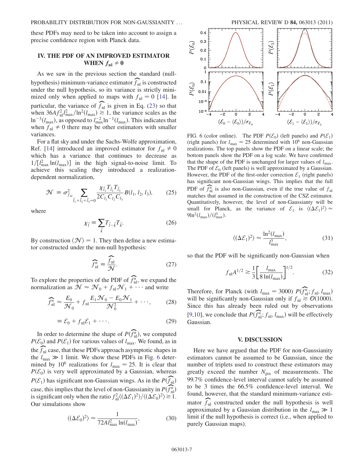these PDFs may need to be taken into account to assign a precise confidence region with Planck data.

# IV. THE PDF OF AN IMPROVED ESTIMATOR WHEN  $f_{\text{nl}} \neq 0$

As we saw in the previous section the standard (nullhypothesis) minimum-variance estimator  $\widehat{f}_{\text{nl}}$  is constructed<br>under the null hypothesis, so its variance is strictly miniunder the null hypothesis, so its variance is strictly minimized only when applied to maps with  $f_{nl} = 0$  [14]. In particular, the variance of  $\widehat{f}_{nl}$  is given in Eq. (23) so that when  $364 f^2 l^2$  (ln<sup>2</sup>(l)  $> 1$  the variance scales as the when  $36A f_{\text{nl}}^2 l_{\text{max}}^2 / \ln^2(l_{\text{max}}) \ge 1$ , the variance scales as the  $\ln^{-3}(l_{\text{max}})$  as opposed to  $l^{-2} \ln^{-1}(l_{\text{max}})$ . This indicates that  $\ln^{-3}(l_{\text{max}})$ , as opposed to  $l_{\text{max}}^{-2}\ln^{-1}(l_{\text{max}})$ . This indicates that when  $f_+\neq 0$  there may be other estimators with smaller when  $f_{nl} \neq 0$  there may be other estimators with smaller variances.

For a flat sky and under the Sachs-Wolfe approximation, Ref. [14] introduced an improved estimator for  $f_{nl} \neq 0$ which has a variance that continues to decrease as  $1/[l_{\text{max}}^2 \ln(l_{\text{max}})]$  in the high signal-to-noise limit. To achieve this scaling they introduced a realizationachieve this scaling they introduced a realizationdependent normalization,

$$
\mathcal{N} = \sigma_{f_{\text{nl}}}^2 \sum_{\vec{l}_1 + \vec{l}_2 + \vec{l}_3 = 0} \frac{\chi_{\vec{l}_1} T_{\vec{l}_2} T_{\vec{l}_3}}{2C_{l_1} C_{l_2} C_{l_3}} B(l_1, l_2, l_3), \qquad (25)
$$

where

$$
\chi_{\vec{l}} \equiv \sum_{\vec{k}} T_{\vec{l}-\vec{k}} T_{\vec{k}}.\tag{26}
$$

By construction  $\langle \mathcal{N} \rangle = 1$ . They then define a new estimator constructed under the non-null hypothesis:

$$
\widehat{f}_{\text{nl}}^n \equiv \frac{\widehat{f}_{\text{nl}}}{\mathcal{N}}.\tag{27}
$$

To explore the properties of the PDF of  $\widehat{f}_{nl}^n$ , we expand the normalization as  $\mathcal{N} \approx \mathcal{N}_0 + f \cdot \mathcal{N}_1 + \cdots$  and write normalization as  $\mathcal{N} \approx \mathcal{N}_0 + f_{\text{nl}} \mathcal{N}_1 + \cdots$  and write

$$
\widehat{f}_{\rm nl}^n \approx \frac{E_0}{\mathcal{N}_0} + f_{\rm nl} \frac{E_1 \mathcal{N}_0 - E_0 \mathcal{N}_1}{\mathcal{N}_0^2} + \cdots,
$$
 (28)

$$
\equiv \mathcal{E}_0 + f_{\rm nl} \mathcal{E}_1 + \cdots. \tag{29}
$$

In order to determine the shape of  $P(\widehat{f}_{nl}^n)$ , we computed  $\mathcal{E}_c$  and  $P(\mathcal{E}_c)$  for various values of  $l$ . We found as in  $P(\mathcal{E}_0)$  and  $P(\mathcal{E}_1)$  for various values of  $l_{\text{max}}$ . We found, as in the  $\widehat{f}_{nl}$  case, that these PDFs approach asymptotic shapes in the  $l \gg 1$  limit. We show these PDFs in Fig. 6 deter the  $l_{\text{max}} \gg 1$  limit. We show these PDFs in Fig. 6 deter-<br>mined by 10<sup>6</sup> realizations for  $l = 25$ . It is clear that mined by 10<sup>6</sup> realizations for  $l_{\text{max}} = 25$ . It is clear that  $P(\mathcal{E}_0)$  is very well approximated by a Gaussian, whereas  $P(\mathcal{E}_1)$  has significant non-Gaussian wings. As in the  $P(\widehat{f}_{nl})$ case, this implies that the level of non-Gaussianity in  $P(\widehat{f}_{nl}^n)$ is significant only when the ratio  $f_{nl}^2 \langle (\Delta \mathcal{E}_1)^2 \rangle / \langle (\Delta \mathcal{E}_0)^2 \rangle \gtrsim 1$ . Our simulations show

$$
\langle (\Delta \mathcal{E}_0)^2 \rangle \approx \frac{1}{72A l_{\text{max}}^2 \ln(l_{\text{max}})},\tag{30}
$$



FIG. 6 (color online). The PDF  $P(\mathcal{E}_0)$  (left panels) and  $P(\mathcal{E}_1)$ (right panels) for  $l_{\text{max}} = 25$  determined with 10<sup>6</sup> non-Gaussian realizations. The top panels show the PDF on a linear scale; the bottom panels show the PDF on a log scale. We have confirmed that the shape of the PDF is unchanged for larger values of  $l_{\text{max}}$ . The PDF of  $\mathcal{E}_0$  (left panels) is well approximated by a Gaussian. However, the PDF of the first-order correction  $\mathcal{E}_1$  (right panels) has significant non-Gaussian wings. This implies that the full PDF of  $\widehat{f}_{nl}^n$  is also non-Gaussian, even if the true value of  $f_{nl}$ <br>matches that assumed in the construction of the CSZ estimator matches that assumed in the construction of the CSZ estimator. Quantitatively, however, the level of non-Gaussianty will be small for Planck, as the variance of  $\mathcal{E}_1$  is  $\langle (\Delta \mathcal{E}_1)^2 \rangle \approx 9 \ln^2 (I - )/(I^3)$  $9\ln^2(l_{\text{max}})/(l_{\text{max}}^3)$ .

$$
\langle (\Delta \mathcal{E}_1)^2 \rangle \approx \frac{\ln^2(l_{\text{max}})}{l_{\text{max}}^3},\tag{31}
$$

so that the PDF will be significantly non-Gaussian when

$$
f_{\rm nl} A^{1/2} \gtrsim \frac{1}{3} \left[ \frac{l_{\rm max}}{8 \ln(l_{\rm max})} \right]^{1/2}.
$$
 (32)

Therefore, for Planck (with  $l_{\text{max}} = 3000$ )  $P(\widehat{f}_{nl}^n; f_{nl}, l_{\text{max}})$ <br>will be significantly non-Gaussian only if  $f = \mathcal{O}(1000)$ will be significantly non-Gaussian only if  $f_{nl} \geq O(1000)$ .<br>Since this has already been ruled out by observations Since this has already been ruled out by observations [9,10], we conclude that  $P(\widehat{f}_{nl}^n; f_{nl}, l_{max})$  will be effectively Gaussian.

#### V. DISCUSSION

Here we have argued that the PDF for non-Gaussianity estimators cannot be assumed to be Gaussian, since the number of triplets used to construct these estimators may greatly exceed the number  $N_{pix}$  of measurements. The 99.7% confidence-level interval cannot safely be assumed to be 3 times the 66.5% confidence-level interval. We found, however, that the standard minimum-variance estimator  $\widehat{f}_{nl}$  constructed under the null hypothesis is well approximated by a Gaussian distribution in the  $l_{\text{max}} \gg 1$ limit if the null hypothesis is correct (i.e., when applied to purely Gaussian maps).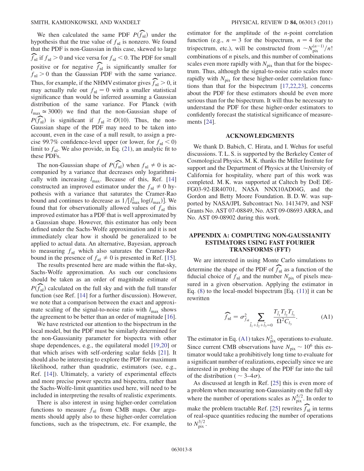We then calculated the same PDF  $P(\widehat{f}_{nl})$  under the nothesis that the true value of f, is nonzero. We found hypothesis that the true value of  $f_{nl}$  is nonzero. We found<br>that the PDE is non-Gaussian in this case, skewed to large that the PDF is non-Gaussian in this case, skewed to large  $\widehat{f}_{\text{nl}}$  if  $f_{\text{nl}} > 0$  and vice versa for  $f_{\text{nl}} < 0$ . The PDF for small positive or for negative  $\widehat{f}_{nl}$  is significantly smaller for  $f_{nl} > 0$  than the Gaussian PDF with the same variance. Thus, for example, if the NHMV estimator gives  $\widehat{f}_{nl} > 0$ , it may actually rule out  $f_{nl} = 0$  with a smaller statistical may actually rule out  $f_{nl} = 0$  with a smaller statistical significance than would be inferred assuming a Gaussian distribution of the same variance. For Planck (with  $l_{\text{max}} \approx 3000$ ) we find that the non-Gaussian shape of  $P(\widehat{f}_{nl})$  is significant if  $f_{nl} \geq \mathcal{O}(10)$ . Thus, the non-<br>Gaussian shape of the PDF may need to be taken into Gaussian shape of the PDF may need to be taken into account, even in the case of a null result, to assign a precise 99.7% confidence-level upper (or lower, for  $f_{nl} < 0$ ) limit to  $f_{nl}$ . We also provide, in Eq. (21), an analytic fit to these PDFs.

The non-Gaussian shape of  $P(\widehat{f}_{nl})$  when  $f_{nl} \neq 0$  is ac-<br>mpanied by a variance that decreases only logarithmicompanied by a variance that decreases only logarithmically with increasing  $l_{\text{max}}$ . Because of this, Ref. [14] constructed an improved estimator under the  $f_{nl} \neq 0$  hypothesis with a variance that saturates the Cramer-Rao bound and continues to decrease as  $1/[l_{\text{max}}^2 \log(l_{\text{max}})]$ . We found that for observationally allowed values of f, this found that for observationally allowed values of  $f_{nl}$  this improved estimator has a PDF that is well approximated by a Gaussian shape. However, this estimator has only been defined under the Sachs-Wolfe approximation and it is not immediately clear how it should be generalized to be applied to actual data. An alternative, Bayesian, approach to measuring  $f_{nl}$  which also saturates the Cramer-Rao bound in the presence of  $f_{nl} \neq 0$  is presented in Ref. [15].

The results presented here are made within the flat-sky, Sachs-Wolfe approximation. As such our conclusions should be taken as an order of magnitude estimate of  $P(\widehat{f}_{nl})$  calculated on the full sky and with the full transfer<br>function (see Ref. 141 for a further discussion). However function (see Ref. [14] for a further discussion). However, we note that a comparison between the exact and approximate scaling of the signal-to-noise ratio with  $l_{\text{max}}$  shows the agreement to be better than an order of magnitude [16].

We have restricted our attention to the bispectrum in the local model, but the PDF must be similarly determined for the non-Gaussianity parameter for bispectra with other shape dependences, e.g., the equilateral model [19,20] or that which arises with self-ordering scalar fields [21]. It should also be interesting to explore the PDF for maximum likelihood, rather than quadratic, estimators (see, e.g., Ref. [14]). Ultimately, a variety of experimental effects and more precise power spectra and bispectra, rather than the Sachs-Wolfe-limit quantities used here, will need to be included in interpreting the results of realistic experiments.

There is also interest in using higher-order correlation functions to measure  $f_{nl}$  from CMB maps. Our arguments should apply also to these higher-order correlation functions, such as the trispectrum, etc. For example, the

estimator for the amplitude of the  $n$ -point correlation function (e.g.,  $n = 3$  for the bispectrum,  $n = 4$  for the trispectrum, etc.), will be constructed from  $\sim N_{\text{pix}}^{(n-1)}/n!$ combinations of  $n$  pixels, and this number of combinations scales even more rapidly with  $N_{pix}$  than that for the bispectrum. Thus, although the signal-to-noise ratio scales more rapidly with  $N_{pix}$  for these higher-order correlation functions than that for the bispectrum [17,22,23], concerns about the PDF for these estimators should be even more serious than for the bispectrum. It will thus be necessary to understand the PDF for these higher-order estimators to confidently forecast the statistical significance of measurements [24].

## ACKNOWLEDGMENTS

We thank D. Babich, C. Hirata, and I. Wehus for useful discussions. T. L. S. is supported by the Berkeley Center of Cosmological Physics. M. K. thanks the Miller Institute for support and the Department of Physics at the University of California for hospitality, where part of this work was completed. M. K. was supported at Caltech by DoE DE-FG03-92-ER40701, NASA NNX10AD04G, and the Gordon and Betty Moore Foundation. B. D. W. was supported by NASA/JPL Subcontract No. 1413479, and NSF Grants No. AST 07-08849, No. AST 09-08693 ARRA, and No. AST 09-08902 during this work.

# APPENDIX A: COMPUTING NON-GAUSSIANITY ESTIMATORS USING FAST FOURIER TRANSFORMS (FFT)

We are interested in using Monte Carlo simulations to determine the shape of the PDF of  $\widehat{f}_{nl}$  as a function of the function of the function of the function of  $f_{nl}$  as a function of pixels meafiducial choice of  $f_{nl}$  and the number  $N_{pix}$  of pixels mea-<br>sured in a given observation. Applying the estimator in sured in a given observation. Applying the estimator in Eq. (8) to the local-model bispectrum [Eq. (11)] it can be rewritten

$$
\widehat{f}_{\rm nl} = \sigma_{f_{\rm nl}}^2 \sum_{\vec{l}_1 + \vec{l}_2 + \vec{l}_3 = 0} \frac{T_{\vec{l}_1} T_{\vec{l}_2} T_{\vec{l}_3}}{\Omega^2 C_{l_3}}.
$$
\n(A1)

The estimator in Eq. (A1) takes  $N_{\text{pix}}^2$  operations to evaluate. Since current CMB observations have  $N_{\text{pix}} \sim 10^6$  this estimator would take a prohibitively long time to evaluate for a significant number of realizations, especially since we are interested in probing the shape of the PDF far into the tail of the distribution ( $\sim$  3–4 $\sigma$ ).<br>As discussed at length in R

As discussed at length in Ref. [25] this is even more of a problem when measuring non-Gaussianity on the full sky where the number of operations scales as  $N_{\text{pix}}^{5/2}$ . In order to make the problem tractable Ref. [25] rewrites  $\widehat{f}_{nl}$  in terms of real-space quantities reducing the number of operations of real-space quantities reducing the number of operations to  $N_{\text{pix}}^{3/2}$ .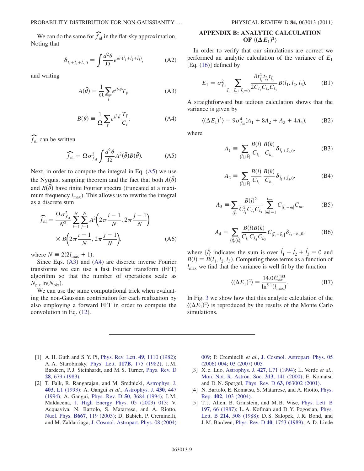We can do the same for  $\widehat{f}_{nl}$  in the flat-sky approximation. Noting that

$$
\delta_{\vec{l}_1 + \vec{l}_2 + \vec{l}_3,0} = \int \frac{d^2 \theta}{\Omega} e^{i \vec{\theta} \cdot (\vec{l}_1 + \vec{l}_2 + \vec{l}_3)}, \tag{A2}
$$

and writing

$$
A(\vec{\theta}) = \frac{1}{\Omega} \sum_{\vec{l}} e^{i\vec{l}\cdot\vec{\theta}} T_{\vec{l}} \tag{A3}
$$

$$
B(\vec{\theta}) = \frac{1}{\Omega} \sum_{\vec{l}} e^{i\vec{l} \cdot \vec{\theta}} \frac{T_{\vec{l}}}{C_l},
$$
 (A4)

 $f_{nl}$  can be written

$$
\widehat{f}_{\rm nl} = \Omega \sigma_{f_{\rm nl}}^2 \int \frac{d^2 \theta}{\Omega} A^2(\vec{\theta}) B(\vec{\theta}). \tag{A5}
$$

Next, in order to compute the integral in Eq. (A5) we use the Nyquist sampling theorem and the fact that both  $A(\vec{\theta})$ and  $B(\vec{\theta})$  have finite Fourier spectra (truncated at a maximum frequency  $l_{\text{max}}$ ). This allows us to rewrite the integral as a discrete sum

$$
\widehat{f}_{\rm nl} = \frac{\Omega \sigma_{f_{\rm nl}}^2}{N^2} \sum_{i=1}^N \sum_{j=1}^N A^2 \left( 2\pi \frac{i-1}{N}, 2\pi \frac{j-1}{N} \right) \times B \left( 2\pi \frac{i-1}{N}, 2\pi \frac{j-1}{N} \right), \tag{A6}
$$

where  $N \equiv 2(2l_{\text{max}} + 1)$ .

Since Eqs. (A3) and (A4) are discrete inverse Fourier transforms we can use a fast Fourier transform (FFT) algorithm so that the number of operations scale as  $N_{\text{pix}} \ln(N_{\text{pix}})$ .<br>We can us

We can use the same computational trick when evaluating the non-Gaussian contribution for each realization by also employing a forward FFT in order to compute the convolution in Eq. (12).

### APPENDIX B: ANALYTIC CALCULATION OF  $\langle (\Delta E_1)^2$  $\overline{a}$

In order to verify that our simulations are correct we performed an analytic calculation of the variance of  $E_1$ [Eq. (16)] defined by

$$
E_1 = \sigma_{f_{\rm nl}}^2 \sum_{\vec{l}_1 + \vec{l}_2 + \vec{l}_3 = 0} \frac{\delta t_{\vec{l}_1}^2 t_{\vec{l}_2} t_{\vec{l}_3}}{2C_{l_1} C_{l_2} C_{l_3}} B(l_1, l_2, l_3).
$$
 (B1)

A straightforward but tedious calculation shows that the variance is given by

$$
\langle (\Delta E_1)^2 \rangle = 9\sigma_{f_{\text{nl}}}^4 (A_1 + 8A_2 + A_3 + 4A_4), \tag{B2}
$$

where

$$
A_1 = \sum_{\{\vec{l}\},\{\vec{k}\}} \frac{B(l)}{C_{l_1}} \frac{B(k)}{C_{k_1}} \delta_{\vec{l}_1 + \vec{k}_1,0}, \tag{B3}
$$

$$
A_2 = \sum_{\{\vec{l}\},\{\vec{k}\}} \frac{B(l)}{C_{l_1}} \frac{B(k)}{C_{k_1}} \delta_{\vec{l}_3 + \vec{k}_3,0'} \tag{B4}
$$

$$
A_3 = \sum_{\{\vec{l}\}} \frac{B(l)^2}{C_{l_1}^2 C_{l_2} C_{l_3}} \sum_{|\vec{m}|=1}^{l_{\text{max}}} C_{|\vec{l}_1 - \vec{m}|} C_m, \tag{B5}
$$

$$
A_4 = \sum_{\{\vec{l}\},\{\vec{k}\}} \frac{B(l)B(k)}{C_{l_1}C_{k_1}C_{k_3}} C_{|\vec{l}_1 + \vec{k}_2|} \delta_{l_3 + k_3,0}, \tag{B6}
$$

where  $\{\vec{l}\}\$ indicates the sum is over  $\vec{l}_1 + \vec{l}_2 + \vec{l}_3 = 0$  and  $B(l) \equiv B(l_1, l_2, l_3)$ . Computing these terms as a function of  $l_{\text{max}}$  we find that the variance is well fit by the function

$$
\langle (\Delta E_1)^2 \rangle = \frac{14.0 l_{\text{max}}^{0.433}}{\ln^{5.1} (l_{\text{max}})}.
$$
 (B7)

In Fig. 3 we show how that this analytic calculation of the  $\langle (\Delta E_1)^2 \rangle$  is reproduced by the results of the Monte Carlo simulations simulations.

- [1] A. H. Guth and S. Y. Pi, [Phys. Rev. Lett.](http://dx.doi.org/10.1103/PhysRevLett.49.1110) 49, 1110 (1982); A. A. Starobinsky, Phys. Lett. 117B[, 175 \(1982\)](http://dx.doi.org/10.1016/0370-2693(82)90541-X); J. M. Bardeen, P. J. Steinhardt, and M. S. Turner, [Phys. Rev. D](http://dx.doi.org/10.1103/PhysRevD.28.679) 28[, 679 \(1983\)](http://dx.doi.org/10.1103/PhysRevD.28.679).
- [2] T. Falk, R. Rangarajan, and M. Srednicki, [Astrophys. J.](http://dx.doi.org/10.1086/186707) 403[, L1 \(1993\);](http://dx.doi.org/10.1086/186707) A. Gangui et al., [Astrophys. J.](http://dx.doi.org/10.1086/174421) 430, 447 [\(1994\)](http://dx.doi.org/10.1086/174421); A. Gangui, Phys. Rev. D 50[, 3684 \(1994\)](http://dx.doi.org/10.1103/PhysRevD.50.3684); J. M. Maldacena, [J. High Energy Phys. 05 \(2003\) 013;](http://dx.doi.org/10.1088/1126-6708/2003/05/013) V. Acquaviva, N. Bartolo, S. Matarrese, and A. Riotto, Nucl. Phys. B667[, 119 \(2003\);](http://dx.doi.org/10.1016/S0550-3213(03)00550-9) D. Babich, P. Creminelli, and M. Zaldarriaga, [J. Cosmol. Astropart. Phys. 08 \(2004\)](http://dx.doi.org/10.1088/1475-7516/2004/08/009)

[009](http://dx.doi.org/10.1088/1475-7516/2004/08/009); P. Creminelli et al., [J. Cosmol. Astropart. Phys. 05](http://dx.doi.org/10.1088/1475-7516/2006/05/004) [\(2006\) 004](http://dx.doi.org/10.1088/1475-7516/2006/05/004); [03 \(2007\) 005.](http://dx.doi.org/10.1088/1475-7516/2007/03/005)

- [3] X. c. Luo, [Astrophys. J.](http://dx.doi.org/10.1086/187367) 427, L71 (1994); L. Verde et al., [Mon. Not. R. Astron. Soc.](http://dx.doi.org/10.1046/j.1365-8711.2000.03191.x) 313, 141 (2000); E. Komatsu and D. N. Spergel, Phys. Rev. D 63[, 063002 \(2001\).](http://dx.doi.org/10.1103/PhysRevD.63.063002)
- [4] N. Bartolo, E. Komatsu, S. Matarrese, and A. Riotto, [Phys.](http://dx.doi.org/10.1016/j.physrep.2004.08.022) Rep. 402[, 103 \(2004\).](http://dx.doi.org/10.1016/j.physrep.2004.08.022)
- [5] T. J. Allen, B. Grinstein, and M. B. Wise, [Phys. Lett. B](http://dx.doi.org/10.1016/0370-2693(87)90343-1) 197[, 66 \(1987\);](http://dx.doi.org/10.1016/0370-2693(87)90343-1) L. A. Kofman and D. Y. Pogosian, [Phys.](http://dx.doi.org/10.1016/0370-2693(88)90109-8) Lett. B 214[, 508 \(1988\)](http://dx.doi.org/10.1016/0370-2693(88)90109-8); D. S. Salopek, J. R. Bond, and J. M. Bardeen, Phys. Rev. D 40[, 1753 \(1989\)](http://dx.doi.org/10.1103/PhysRevD.40.1753); A. D. Linde